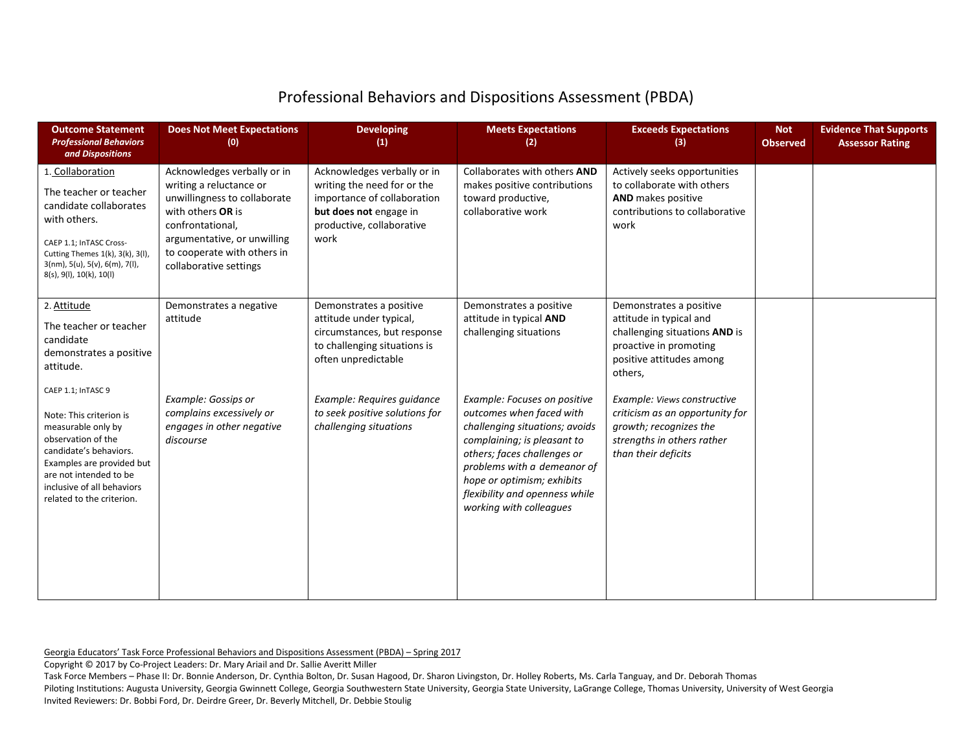## Professional Behaviors and Dispositions Assessment (PBDA)

| <b>Outcome Statement</b><br><b>Professional Behaviors</b><br>and Dispositions                                                                                                                                                         | <b>Does Not Meet Expectations</b><br>(0)                                                                                                                                                                                | <b>Developing</b><br>(1)                                                                                                                                 | <b>Meets Expectations</b><br>(2)                                                                                                                                                                                                                                                   | <b>Exceeds Expectations</b><br>(3)                                                                                                                   | <b>Not</b><br><b>Observed</b> | <b>Evidence That Supports</b><br><b>Assessor Rating</b> |
|---------------------------------------------------------------------------------------------------------------------------------------------------------------------------------------------------------------------------------------|-------------------------------------------------------------------------------------------------------------------------------------------------------------------------------------------------------------------------|----------------------------------------------------------------------------------------------------------------------------------------------------------|------------------------------------------------------------------------------------------------------------------------------------------------------------------------------------------------------------------------------------------------------------------------------------|------------------------------------------------------------------------------------------------------------------------------------------------------|-------------------------------|---------------------------------------------------------|
| 1. Collaboration<br>The teacher or teacher<br>candidate collaborates<br>with others.<br>CAEP 1.1; InTASC Cross-<br>Cutting Themes 1(k), 3(k), 3(l),<br>$3(nm)$ , $5(u)$ , $5(v)$ , $6(m)$ , $7(l)$ ,<br>8(s), 9(l), 10(k), 10(l)      | Acknowledges verbally or in<br>writing a reluctance or<br>unwillingness to collaborate<br>with others OR is<br>confrontational,<br>argumentative, or unwilling<br>to cooperate with others in<br>collaborative settings | Acknowledges verbally or in<br>writing the need for or the<br>importance of collaboration<br>but does not engage in<br>productive, collaborative<br>work | Collaborates with others AND<br>makes positive contributions<br>toward productive,<br>collaborative work                                                                                                                                                                           | Actively seeks opportunities<br>to collaborate with others<br>AND makes positive<br>contributions to collaborative<br>work                           |                               |                                                         |
| 2. Attitude<br>The teacher or teacher<br>candidate<br>demonstrates a positive<br>attitude.                                                                                                                                            | Demonstrates a negative<br>attitude                                                                                                                                                                                     | Demonstrates a positive<br>attitude under typical,<br>circumstances, but response<br>to challenging situations is<br>often unpredictable                 | Demonstrates a positive<br>attitude in typical AND<br>challenging situations                                                                                                                                                                                                       | Demonstrates a positive<br>attitude in typical and<br>challenging situations AND is<br>proactive in promoting<br>positive attitudes among<br>others, |                               |                                                         |
| CAEP 1.1; InTASC 9<br>Note: This criterion is<br>measurable only by<br>observation of the<br>candidate's behaviors.<br>Examples are provided but<br>are not intended to be<br>inclusive of all behaviors<br>related to the criterion. | <b>Example: Gossips or</b><br>complains excessively or<br>engages in other negative<br>discourse                                                                                                                        | Example: Requires guidance<br>to seek positive solutions for<br>challenging situations                                                                   | Example: Focuses on positive<br>outcomes when faced with<br>challenging situations; avoids<br>complaining; is pleasant to<br>others; faces challenges or<br>problems with a demeanor of<br>hope or optimism; exhibits<br>flexibility and openness while<br>working with colleagues | Example: Views constructive<br>criticism as an opportunity for<br>growth; recognizes the<br>strengths in others rather<br>than their deficits        |                               |                                                         |

Georgia Educators' Task Force Professional Behaviors and Dispositions Assessment (PBDA) – Spring 2017

Copyright © 2017 by Co-Project Leaders: Dr. Mary Ariail and Dr. Sallie Averitt Miller

Task Force Members – Phase II: Dr. Bonnie Anderson, Dr. Cynthia Bolton, Dr. Susan Hagood, Dr. Sharon Livingston, Dr. Holley Roberts, Ms. Carla Tanguay, and Dr. Deborah Thomas

Piloting Institutions: Augusta University, Georgia Gwinnett College, Georgia Southwestern State University, Georgia State University, LaGrange College, Thomas University, University of West Georgia Invited Reviewers: Dr. Bobbi Ford, Dr. Deirdre Greer, Dr. Beverly Mitchell, Dr. Debbie Stoulig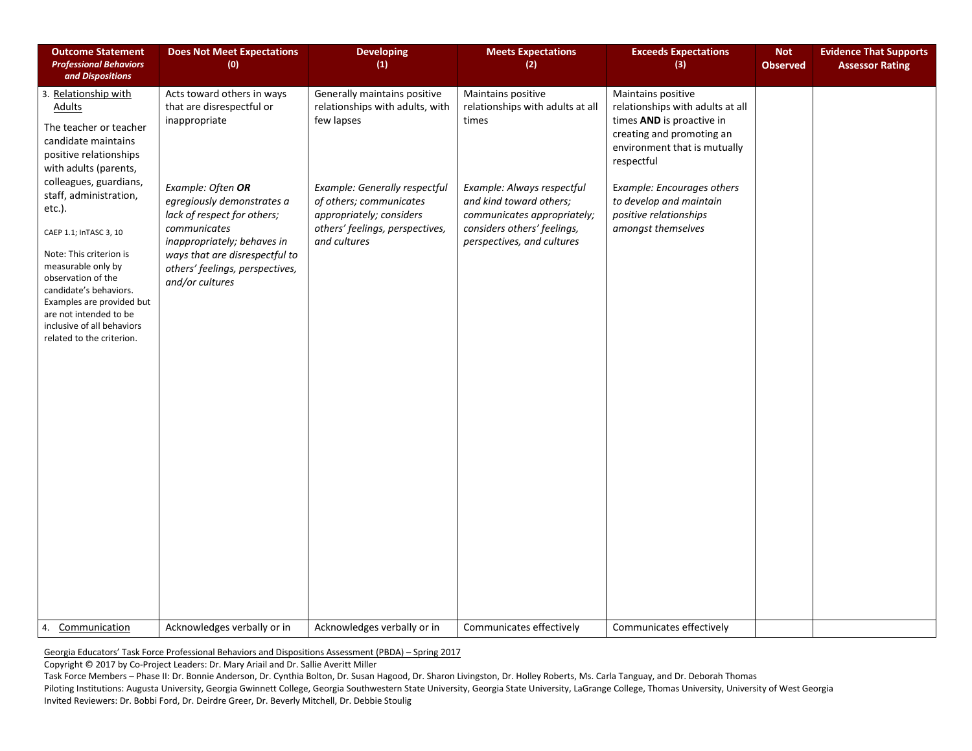| <b>Outcome Statement</b><br><b>Professional Behaviors</b><br>and Dispositions                                                                                                                                                                                                                                                                                                                                                                        | <b>Does Not Meet Expectations</b><br>(0)                                                                                                                                                                                                                                                          | <b>Developing</b><br>(1)                                                                                                                                                                                                 | <b>Meets Expectations</b><br>(2)                                                                                                                                                                                     | <b>Exceeds Expectations</b><br>(3)                                                                                                                                                                                                                                      | <b>Not</b><br><b>Observed</b> | <b>Evidence That Supports</b><br><b>Assessor Rating</b> |
|------------------------------------------------------------------------------------------------------------------------------------------------------------------------------------------------------------------------------------------------------------------------------------------------------------------------------------------------------------------------------------------------------------------------------------------------------|---------------------------------------------------------------------------------------------------------------------------------------------------------------------------------------------------------------------------------------------------------------------------------------------------|--------------------------------------------------------------------------------------------------------------------------------------------------------------------------------------------------------------------------|----------------------------------------------------------------------------------------------------------------------------------------------------------------------------------------------------------------------|-------------------------------------------------------------------------------------------------------------------------------------------------------------------------------------------------------------------------------------------------------------------------|-------------------------------|---------------------------------------------------------|
| 3. Relationship with<br><b>Adults</b><br>The teacher or teacher<br>candidate maintains<br>positive relationships<br>with adults (parents,<br>colleagues, guardians,<br>staff, administration,<br>etc.).<br>CAEP 1.1; InTASC 3, 10<br>Note: This criterion is<br>measurable only by<br>observation of the<br>candidate's behaviors.<br>Examples are provided but<br>are not intended to be<br>inclusive of all behaviors<br>related to the criterion. | Acts toward others in ways<br>that are disrespectful or<br>inappropriate<br>Example: Often OR<br>egregiously demonstrates a<br>lack of respect for others;<br>communicates<br>inappropriately; behaves in<br>ways that are disrespectful to<br>others' feelings, perspectives,<br>and/or cultures | Generally maintains positive<br>relationships with adults, with<br>few lapses<br>Example: Generally respectful<br>of others; communicates<br>appropriately; considers<br>others' feelings, perspectives,<br>and cultures | Maintains positive<br>relationships with adults at all<br>times<br>Example: Always respectful<br>and kind toward others;<br>communicates appropriately;<br>considers others' feelings,<br>perspectives, and cultures | Maintains positive<br>relationships with adults at all<br>times AND is proactive in<br>creating and promoting an<br>environment that is mutually<br>respectful<br>Example: Encourages others<br>to develop and maintain<br>positive relationships<br>amongst themselves |                               |                                                         |
| Communication<br>4.                                                                                                                                                                                                                                                                                                                                                                                                                                  | Acknowledges verbally or in                                                                                                                                                                                                                                                                       | Acknowledges verbally or in                                                                                                                                                                                              | Communicates effectively                                                                                                                                                                                             | Communicates effectively                                                                                                                                                                                                                                                |                               |                                                         |

Copyright © 2017 by Co-Project Leaders: Dr. Mary Ariail and Dr. Sallie Averitt Miller

Task Force Members – Phase II: Dr. Bonnie Anderson, Dr. Cynthia Bolton, Dr. Susan Hagood, Dr. Sharon Livingston, Dr. Holley Roberts, Ms. Carla Tanguay, and Dr. Deborah Thomas

Piloting Institutions: Augusta University, Georgia Gwinnett College, Georgia Southwestern State University, Georgia State University, LaGrange College, Thomas University, University of West Georgia Invited Reviewers: Dr. Bobbi Ford, Dr. Deirdre Greer, Dr. Beverly Mitchell, Dr. Debbie Stoulig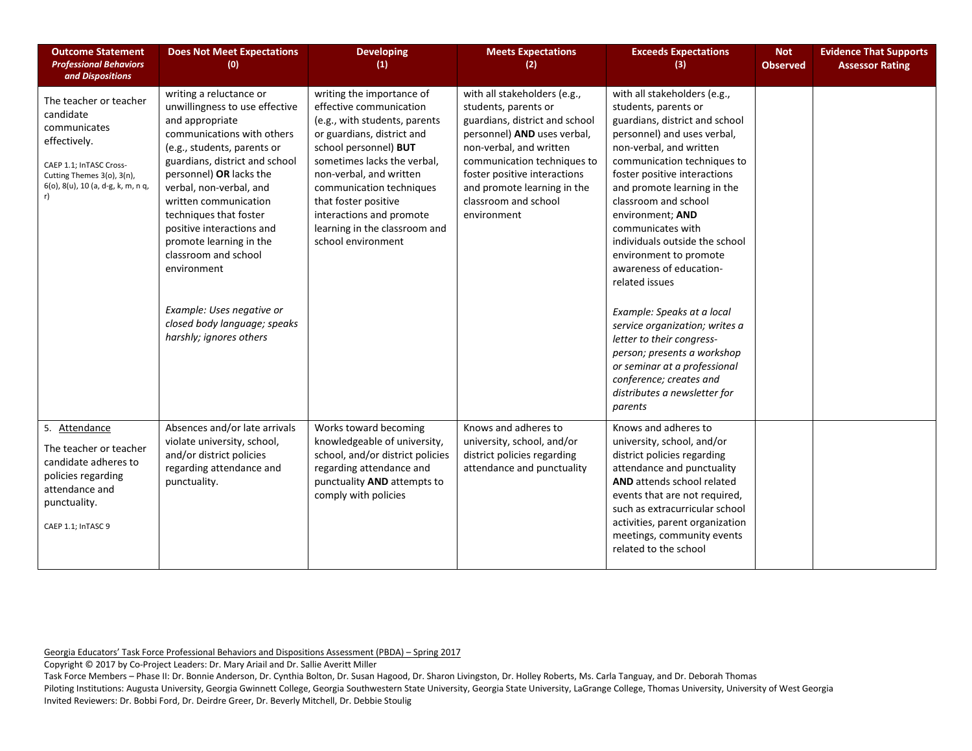| <b>Outcome Statement</b><br><b>Professional Behaviors</b><br>and Dispositions                                                                                      | <b>Does Not Meet Expectations</b><br>(0)                                                                                                                                                                                                                                                                                                                                                                                                                                    | <b>Developing</b><br>(1)                                                                                                                                                                                                                                                                                                                      | <b>Meets Expectations</b><br>(2)                                                                                                                                                                                                                                                      | <b>Exceeds Expectations</b><br>(3)                                                                                                                                                                                                                                                                                                                                                                                                                                                                                                                                                                                                              | <b>Not</b><br><b>Observed</b> | <b>Evidence That Supports</b><br><b>Assessor Rating</b> |
|--------------------------------------------------------------------------------------------------------------------------------------------------------------------|-----------------------------------------------------------------------------------------------------------------------------------------------------------------------------------------------------------------------------------------------------------------------------------------------------------------------------------------------------------------------------------------------------------------------------------------------------------------------------|-----------------------------------------------------------------------------------------------------------------------------------------------------------------------------------------------------------------------------------------------------------------------------------------------------------------------------------------------|---------------------------------------------------------------------------------------------------------------------------------------------------------------------------------------------------------------------------------------------------------------------------------------|-------------------------------------------------------------------------------------------------------------------------------------------------------------------------------------------------------------------------------------------------------------------------------------------------------------------------------------------------------------------------------------------------------------------------------------------------------------------------------------------------------------------------------------------------------------------------------------------------------------------------------------------------|-------------------------------|---------------------------------------------------------|
| The teacher or teacher<br>candidate<br>communicates<br>effectively.<br>CAEP 1.1; InTASC Cross-<br>Cutting Themes 3(o), 3(n),<br>6(o), 8(u), 10 (a, d-g, k, m, n q, | writing a reluctance or<br>unwillingness to use effective<br>and appropriate<br>communications with others<br>(e.g., students, parents or<br>guardians, district and school<br>personnel) OR lacks the<br>verbal, non-verbal, and<br>written communication<br>techniques that foster<br>positive interactions and<br>promote learning in the<br>classroom and school<br>environment<br>Example: Uses negative or<br>closed body language; speaks<br>harshly; ignores others | writing the importance of<br>effective communication<br>(e.g., with students, parents<br>or guardians, district and<br>school personnel) BUT<br>sometimes lacks the verbal,<br>non-verbal, and written<br>communication techniques<br>that foster positive<br>interactions and promote<br>learning in the classroom and<br>school environment | with all stakeholders (e.g.,<br>students, parents or<br>guardians, district and school<br>personnel) AND uses verbal,<br>non-verbal, and written<br>communication techniques to<br>foster positive interactions<br>and promote learning in the<br>classroom and school<br>environment | with all stakeholders (e.g.,<br>students, parents or<br>guardians, district and school<br>personnel) and uses verbal,<br>non-verbal, and written<br>communication techniques to<br>foster positive interactions<br>and promote learning in the<br>classroom and school<br>environment; AND<br>communicates with<br>individuals outside the school<br>environment to promote<br>awareness of education-<br>related issues<br>Example: Speaks at a local<br>service organization; writes a<br>letter to their congress-<br>person; presents a workshop<br>or seminar at a professional<br>conference; creates and<br>distributes a newsletter for |                               |                                                         |
| 5. Attendance<br>The teacher or teacher<br>candidate adheres to<br>policies regarding<br>attendance and<br>punctuality.<br>CAEP 1.1; InTASC 9                      | Absences and/or late arrivals<br>violate university, school,<br>and/or district policies<br>regarding attendance and<br>punctuality.                                                                                                                                                                                                                                                                                                                                        | Works toward becoming<br>knowledgeable of university,<br>school, and/or district policies<br>regarding attendance and<br>punctuality AND attempts to<br>comply with policies                                                                                                                                                                  | Knows and adheres to<br>university, school, and/or<br>district policies regarding<br>attendance and punctuality                                                                                                                                                                       | parents<br>Knows and adheres to<br>university, school, and/or<br>district policies regarding<br>attendance and punctuality<br>AND attends school related<br>events that are not required,<br>such as extracurricular school<br>activities, parent organization<br>meetings, community events<br>related to the school                                                                                                                                                                                                                                                                                                                           |                               |                                                         |

Copyright © 2017 by Co-Project Leaders: Dr. Mary Ariail and Dr. Sallie Averitt Miller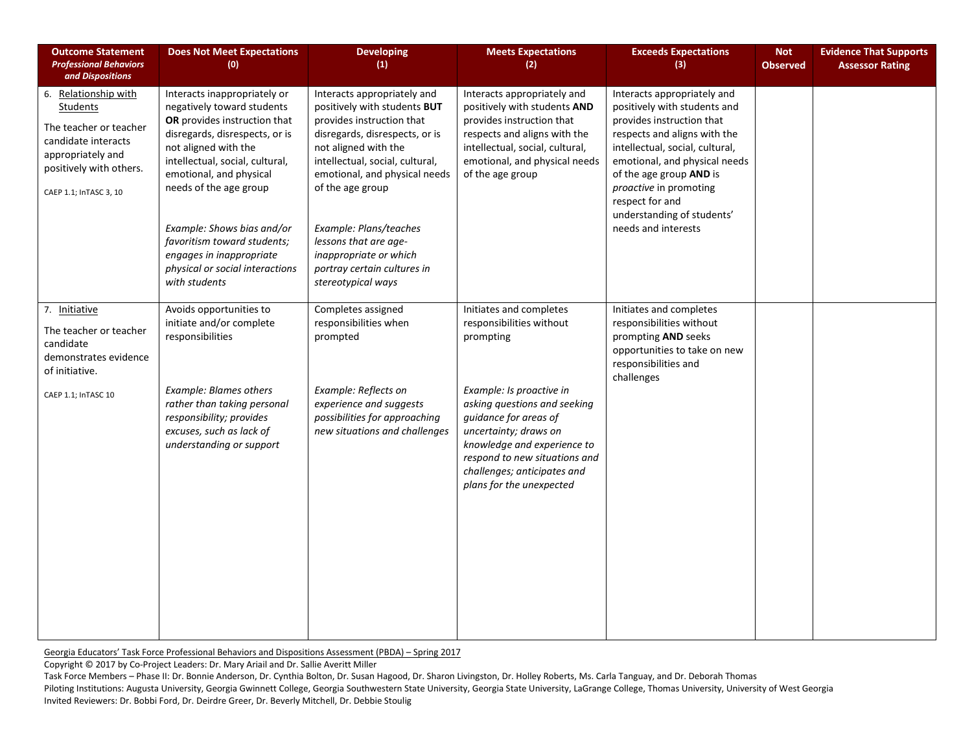| <b>Outcome Statement</b><br><b>Professional Behaviors</b><br>and Dispositions                                                                                      | <b>Does Not Meet Expectations</b><br>(0)                                                                                                                                                                                                                                                                                                                                                  | <b>Developing</b><br>(1)                                                                                                                                                                                                                                                                                                                                                     | <b>Meets Expectations</b><br>(2)                                                                                                                                                                                                                                                                          | <b>Exceeds Expectations</b><br>(3)                                                                                                                                                                                                                                                                                        | <b>Not</b><br><b>Observed</b> | <b>Evidence That Supports</b><br><b>Assessor Rating</b> |
|--------------------------------------------------------------------------------------------------------------------------------------------------------------------|-------------------------------------------------------------------------------------------------------------------------------------------------------------------------------------------------------------------------------------------------------------------------------------------------------------------------------------------------------------------------------------------|------------------------------------------------------------------------------------------------------------------------------------------------------------------------------------------------------------------------------------------------------------------------------------------------------------------------------------------------------------------------------|-----------------------------------------------------------------------------------------------------------------------------------------------------------------------------------------------------------------------------------------------------------------------------------------------------------|---------------------------------------------------------------------------------------------------------------------------------------------------------------------------------------------------------------------------------------------------------------------------------------------------------------------------|-------------------------------|---------------------------------------------------------|
| 6. Relationship with<br><b>Students</b><br>The teacher or teacher<br>candidate interacts<br>appropriately and<br>positively with others.<br>CAEP 1.1; InTASC 3, 10 | Interacts inappropriately or<br>negatively toward students<br>OR provides instruction that<br>disregards, disrespects, or is<br>not aligned with the<br>intellectual, social, cultural,<br>emotional, and physical<br>needs of the age group<br>Example: Shows bias and/or<br>favoritism toward students;<br>engages in inappropriate<br>physical or social interactions<br>with students | Interacts appropriately and<br>positively with students BUT<br>provides instruction that<br>disregards, disrespects, or is<br>not aligned with the<br>intellectual, social, cultural,<br>emotional, and physical needs<br>of the age group<br>Example: Plans/teaches<br>lessons that are age-<br>inappropriate or which<br>portray certain cultures in<br>stereotypical ways | Interacts appropriately and<br>positively with students AND<br>provides instruction that<br>respects and aligns with the<br>intellectual, social, cultural,<br>emotional, and physical needs<br>of the age group                                                                                          | Interacts appropriately and<br>positively with students and<br>provides instruction that<br>respects and aligns with the<br>intellectual, social, cultural,<br>emotional, and physical needs<br>of the age group AND is<br>proactive in promoting<br>respect for and<br>understanding of students'<br>needs and interests |                               |                                                         |
| 7. Initiative<br>The teacher or teacher<br>candidate<br>demonstrates evidence<br>of initiative.<br>CAEP 1.1; InTASC 10                                             | Avoids opportunities to<br>initiate and/or complete<br>responsibilities<br><b>Example: Blames others</b><br>rather than taking personal<br>responsibility; provides<br>excuses, such as lack of<br>understanding or support                                                                                                                                                               | Completes assigned<br>responsibilities when<br>prompted<br>Example: Reflects on<br>experience and suggests<br>possibilities for approaching<br>new situations and challenges                                                                                                                                                                                                 | Initiates and completes<br>responsibilities without<br>prompting<br>Example: Is proactive in<br>asking questions and seeking<br>guidance for areas of<br>uncertainty; draws on<br>knowledge and experience to<br>respond to new situations and<br>challenges; anticipates and<br>plans for the unexpected | Initiates and completes<br>responsibilities without<br>prompting AND seeks<br>opportunities to take on new<br>responsibilities and<br>challenges                                                                                                                                                                          |                               |                                                         |

Copyright © 2017 by Co-Project Leaders: Dr. Mary Ariail and Dr. Sallie Averitt Miller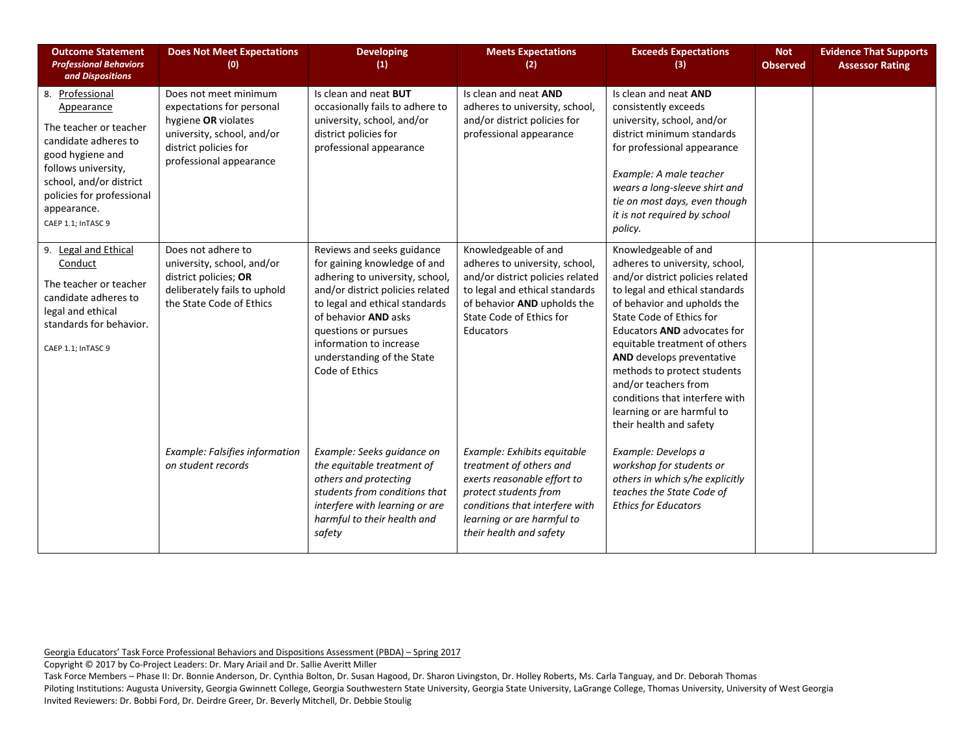| <b>Outcome Statement</b><br><b>Professional Behaviors</b><br>and Dispositions                                                                                                                                           | <b>Does Not Meet Expectations</b><br>(0)                                                                                                                    | <b>Developing</b><br>(1)                                                                                                                                                                                                                                                                       | <b>Meets Expectations</b><br>(2)                                                                                                                                                                            | <b>Exceeds Expectations</b><br>(3)                                                                                                                                                                                                                                                                                                                                                                                                            | <b>Not</b><br><b>Observed</b> | <b>Evidence That Supports</b><br><b>Assessor Rating</b> |
|-------------------------------------------------------------------------------------------------------------------------------------------------------------------------------------------------------------------------|-------------------------------------------------------------------------------------------------------------------------------------------------------------|------------------------------------------------------------------------------------------------------------------------------------------------------------------------------------------------------------------------------------------------------------------------------------------------|-------------------------------------------------------------------------------------------------------------------------------------------------------------------------------------------------------------|-----------------------------------------------------------------------------------------------------------------------------------------------------------------------------------------------------------------------------------------------------------------------------------------------------------------------------------------------------------------------------------------------------------------------------------------------|-------------------------------|---------------------------------------------------------|
| 8. Professional<br>Appearance<br>The teacher or teacher<br>candidate adheres to<br>good hygiene and<br>follows university,<br>school, and/or district<br>policies for professional<br>appearance.<br>CAEP 1.1; InTASC 9 | Does not meet minimum<br>expectations for personal<br>hygiene OR violates<br>university, school, and/or<br>district policies for<br>professional appearance | Is clean and neat BUT<br>occasionally fails to adhere to<br>university, school, and/or<br>district policies for<br>professional appearance                                                                                                                                                     | Is clean and neat AND<br>adheres to university, school,<br>and/or district policies for<br>professional appearance                                                                                          | Is clean and neat AND<br>consistently exceeds<br>university, school, and/or<br>district minimum standards<br>for professional appearance<br>Example: A male teacher<br>wears a long-sleeve shirt and<br>tie on most days, even though<br>it is not required by school<br>policy.                                                                                                                                                              |                               |                                                         |
| 9. Legal and Ethical<br>Conduct<br>The teacher or teacher<br>candidate adheres to<br>legal and ethical<br>standards for behavior.<br>CAEP 1.1; InTASC 9                                                                 | Does not adhere to<br>university, school, and/or<br>district policies; OR<br>deliberately fails to uphold<br>the State Code of Ethics                       | Reviews and seeks guidance<br>for gaining knowledge of and<br>adhering to university, school,<br>and/or district policies related<br>to legal and ethical standards<br>of behavior AND asks<br>questions or pursues<br>information to increase<br>understanding of the State<br>Code of Ethics | Knowledgeable of and<br>adheres to university, school,<br>and/or district policies related<br>to legal and ethical standards<br>of behavior AND upholds the<br>State Code of Ethics for<br><b>Educators</b> | Knowledgeable of and<br>adheres to university, school,<br>and/or district policies related<br>to legal and ethical standards<br>of behavior and upholds the<br>State Code of Ethics for<br>Educators AND advocates for<br>equitable treatment of others<br><b>AND</b> develops preventative<br>methods to protect students<br>and/or teachers from<br>conditions that interfere with<br>learning or are harmful to<br>their health and safety |                               |                                                         |
|                                                                                                                                                                                                                         | Example: Falsifies information<br>on student records                                                                                                        | Example: Seeks guidance on<br>the equitable treatment of<br>others and protecting<br>students from conditions that<br>interfere with learning or are<br>harmful to their health and<br>safety                                                                                                  | Example: Exhibits equitable<br>treatment of others and<br>exerts reasonable effort to<br>protect students from<br>conditions that interfere with<br>learning or are harmful to<br>their health and safety   | Example: Develops a<br>workshop for students or<br>others in which s/he explicitly<br>teaches the State Code of<br><b>Ethics for Educators</b>                                                                                                                                                                                                                                                                                                |                               |                                                         |

Copyright © 2017 by Co-Project Leaders: Dr. Mary Ariail and Dr. Sallie Averitt Miller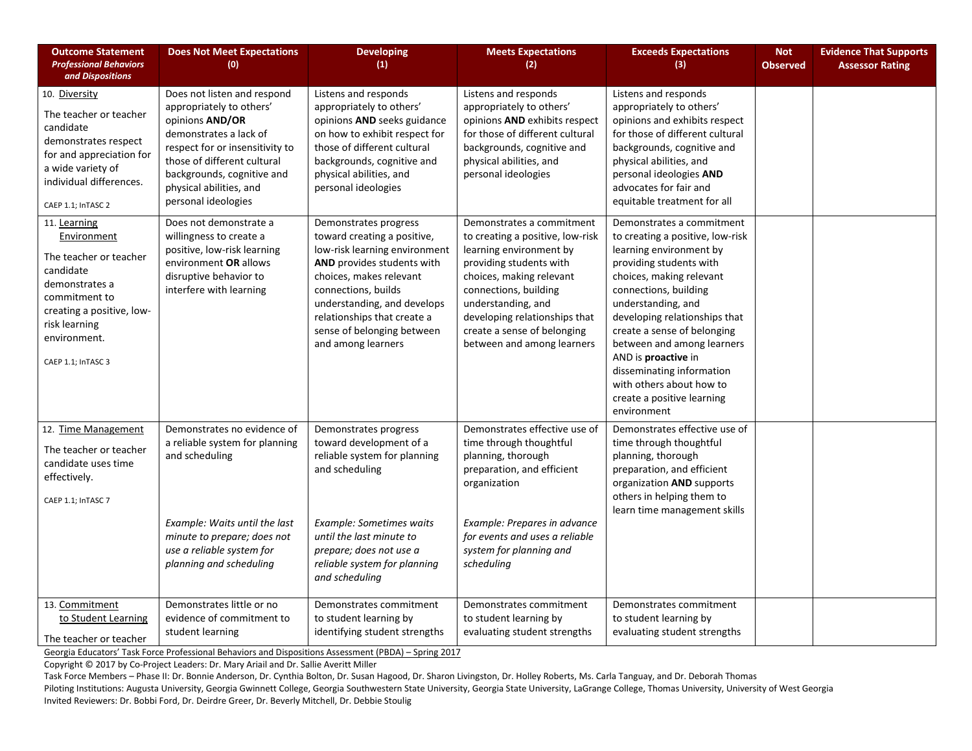| <b>Outcome Statement</b><br><b>Professional Behaviors</b><br>and Dispositions                                                                                                             | <b>Does Not Meet Expectations</b><br>(0)                                                                                                                                                                                                               | <b>Developing</b><br>(1)                                                                                                                                                                                                                                                                | <b>Meets Expectations</b><br>(2)                                                                                                                                                                                                                                                             | <b>Exceeds Expectations</b><br>(3)                                                                                                                                                                                                                                                                                                                                                                                        | <b>Not</b><br><b>Observed</b> | <b>Evidence That Supports</b><br><b>Assessor Rating</b> |
|-------------------------------------------------------------------------------------------------------------------------------------------------------------------------------------------|--------------------------------------------------------------------------------------------------------------------------------------------------------------------------------------------------------------------------------------------------------|-----------------------------------------------------------------------------------------------------------------------------------------------------------------------------------------------------------------------------------------------------------------------------------------|----------------------------------------------------------------------------------------------------------------------------------------------------------------------------------------------------------------------------------------------------------------------------------------------|---------------------------------------------------------------------------------------------------------------------------------------------------------------------------------------------------------------------------------------------------------------------------------------------------------------------------------------------------------------------------------------------------------------------------|-------------------------------|---------------------------------------------------------|
| 10. Diversity<br>The teacher or teacher<br>candidate<br>demonstrates respect<br>for and appreciation for<br>a wide variety of<br>individual differences.<br>CAEP 1.1; InTASC 2            | Does not listen and respond<br>appropriately to others'<br>opinions AND/OR<br>demonstrates a lack of<br>respect for or insensitivity to<br>those of different cultural<br>backgrounds, cognitive and<br>physical abilities, and<br>personal ideologies | Listens and responds<br>appropriately to others'<br>opinions AND seeks guidance<br>on how to exhibit respect for<br>those of different cultural<br>backgrounds, cognitive and<br>physical abilities, and<br>personal ideologies                                                         | Listens and responds<br>appropriately to others'<br>opinions AND exhibits respect<br>for those of different cultural<br>backgrounds, cognitive and<br>physical abilities, and<br>personal ideologies                                                                                         | Listens and responds<br>appropriately to others'<br>opinions and exhibits respect<br>for those of different cultural<br>backgrounds, cognitive and<br>physical abilities, and<br>personal ideologies AND<br>advocates for fair and<br>equitable treatment for all                                                                                                                                                         |                               |                                                         |
| 11. Learning<br>Environment<br>The teacher or teacher<br>candidate<br>demonstrates a<br>commitment to<br>creating a positive, low-<br>risk learning<br>environment.<br>CAEP 1.1; InTASC 3 | Does not demonstrate a<br>willingness to create a<br>positive, low-risk learning<br>environment OR allows<br>disruptive behavior to<br>interfere with learning                                                                                         | Demonstrates progress<br>toward creating a positive,<br>low-risk learning environment<br>AND provides students with<br>choices, makes relevant<br>connections, builds<br>understanding, and develops<br>relationships that create a<br>sense of belonging between<br>and among learners | Demonstrates a commitment<br>to creating a positive, low-risk<br>learning environment by<br>providing students with<br>choices, making relevant<br>connections, building<br>understanding, and<br>developing relationships that<br>create a sense of belonging<br>between and among learners | Demonstrates a commitment<br>to creating a positive, low-risk<br>learning environment by<br>providing students with<br>choices, making relevant<br>connections, building<br>understanding, and<br>developing relationships that<br>create a sense of belonging<br>between and among learners<br>AND is proactive in<br>disseminating information<br>with others about how to<br>create a positive learning<br>environment |                               |                                                         |
| 12. Time Management<br>The teacher or teacher<br>candidate uses time<br>effectively.<br>CAEP 1.1; InTASC 7                                                                                | Demonstrates no evidence of<br>a reliable system for planning<br>and scheduling<br>Example: Waits until the last<br>minute to prepare; does not<br>use a reliable system for<br>planning and scheduling                                                | Demonstrates progress<br>toward development of a<br>reliable system for planning<br>and scheduling<br><b>Example: Sometimes waits</b><br>until the last minute to<br>prepare; does not use a<br>reliable system for planning                                                            | Demonstrates effective use of<br>time through thoughtful<br>planning, thorough<br>preparation, and efficient<br>organization<br>Example: Prepares in advance<br>for events and uses a reliable<br>system for planning and<br>scheduling                                                      | Demonstrates effective use of<br>time through thoughtful<br>planning, thorough<br>preparation, and efficient<br>organization AND supports<br>others in helping them to<br>learn time management skills                                                                                                                                                                                                                    |                               |                                                         |
| 13. Commitment<br>to Student Learning<br>The teacher or teacher                                                                                                                           | Demonstrates little or no<br>evidence of commitment to<br>student learning                                                                                                                                                                             | and scheduling<br>Demonstrates commitment<br>to student learning by<br>identifying student strengths                                                                                                                                                                                    | Demonstrates commitment<br>to student learning by<br>evaluating student strengths                                                                                                                                                                                                            | Demonstrates commitment<br>to student learning by<br>evaluating student strengths                                                                                                                                                                                                                                                                                                                                         |                               |                                                         |

Copyright © 2017 by Co-Project Leaders: Dr. Mary Ariail and Dr. Sallie Averitt Miller